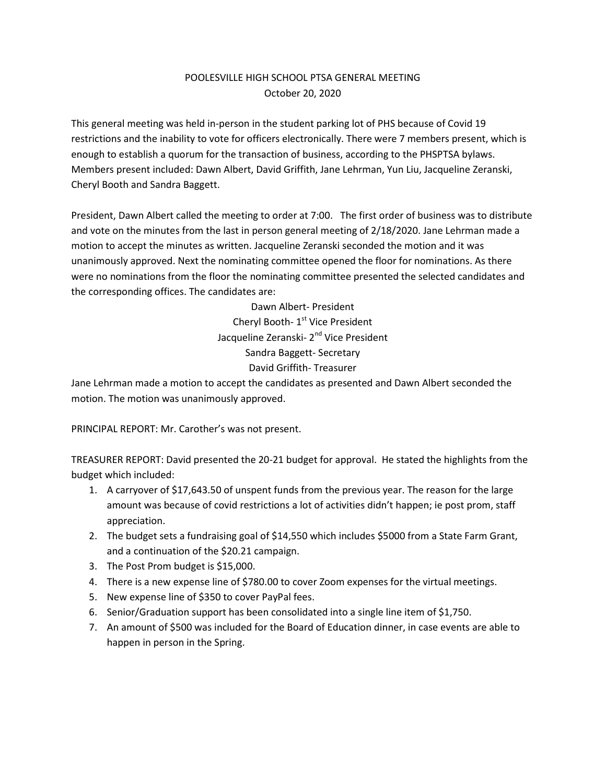## POOLESVILLE HIGH SCHOOL PTSA GENERAL MEETING October 20, 2020

This general meeting was held in-person in the student parking lot of PHS because of Covid 19 restrictions and the inability to vote for officers electronically. There were 7 members present, which is enough to establish a quorum for the transaction of business, according to the PHSPTSA bylaws. Members present included: Dawn Albert, David Griffith, Jane Lehrman, Yun Liu, Jacqueline Zeranski, Cheryl Booth and Sandra Baggett.

President, Dawn Albert called the meeting to order at 7:00. The first order of business was to distribute and vote on the minutes from the last in person general meeting of 2/18/2020. Jane Lehrman made a motion to accept the minutes as written. Jacqueline Zeranski seconded the motion and it was unanimously approved. Next the nominating committee opened the floor for nominations. As there were no nominations from the floor the nominating committee presented the selected candidates and the corresponding offices. The candidates are:

> Dawn Albert- President Cheryl Booth- 1<sup>st</sup> Vice President Jacqueline Zeranski- 2<sup>nd</sup> Vice President Sandra Baggett- Secretary David Griffith- Treasurer

Jane Lehrman made a motion to accept the candidates as presented and Dawn Albert seconded the motion. The motion was unanimously approved.

PRINCIPAL REPORT: Mr. Carother's was not present.

TREASURER REPORT: David presented the 20-21 budget for approval. He stated the highlights from the budget which included:

- 1. A carryover of \$17,643.50 of unspent funds from the previous year. The reason for the large amount was because of covid restrictions a lot of activities didn't happen; ie post prom, staff appreciation.
- 2. The budget sets a fundraising goal of \$14,550 which includes \$5000 from a State Farm Grant, and a continuation of the \$20.21 campaign.
- 3. The Post Prom budget is \$15,000.
- 4. There is a new expense line of \$780.00 to cover Zoom expenses for the virtual meetings.
- 5. New expense line of \$350 to cover PayPal fees.
- 6. Senior/Graduation support has been consolidated into a single line item of \$1,750.
- 7. An amount of \$500 was included for the Board of Education dinner, in case events are able to happen in person in the Spring.